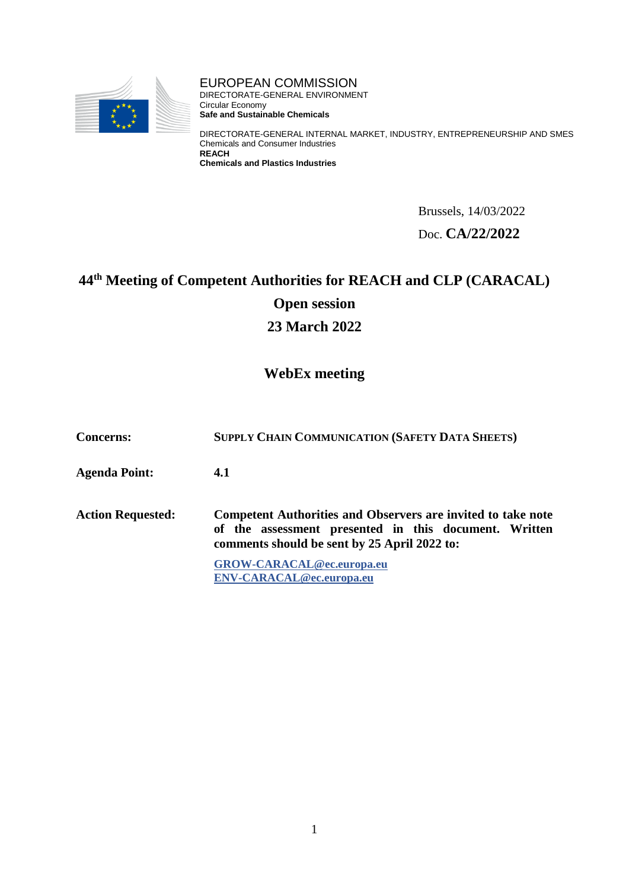

EUROPEAN COMMISSION DIRECTORATE-GENERAL ENVIRONMENT Circular Economy **Safe and Sustainable Chemicals**

DIRECTORATE-GENERAL INTERNAL MARKET, INDUSTRY, ENTREPRENEURSHIP AND SMES Chemicals and Consumer Industries **REACH Chemicals and Plastics Industries**

> Brussels, 14/03/2022 Doc. **CA/22/2022**

# **44th Meeting of Competent Authorities for REACH and CLP (CARACAL) Open session**

**23 March 2022**

## **WebEx meeting**

**Concerns: SUPPLY CHAIN COMMUNICATION (SAFETY DATA SHEETS)**

**Agenda Point: 4.1**

**Action Requested: Competent Authorities and Observers are invited to take note of the assessment presented in this document. Written comments should be sent by 25 April 2022 to:**

> **[GROW-CARACAL@ec.europa.eu](mailto:GROW-CARACAL@ec.europa.eu) [ENV-CARACAL@ec.europa.eu](mailto:env-caracal@ec.europa.eu)**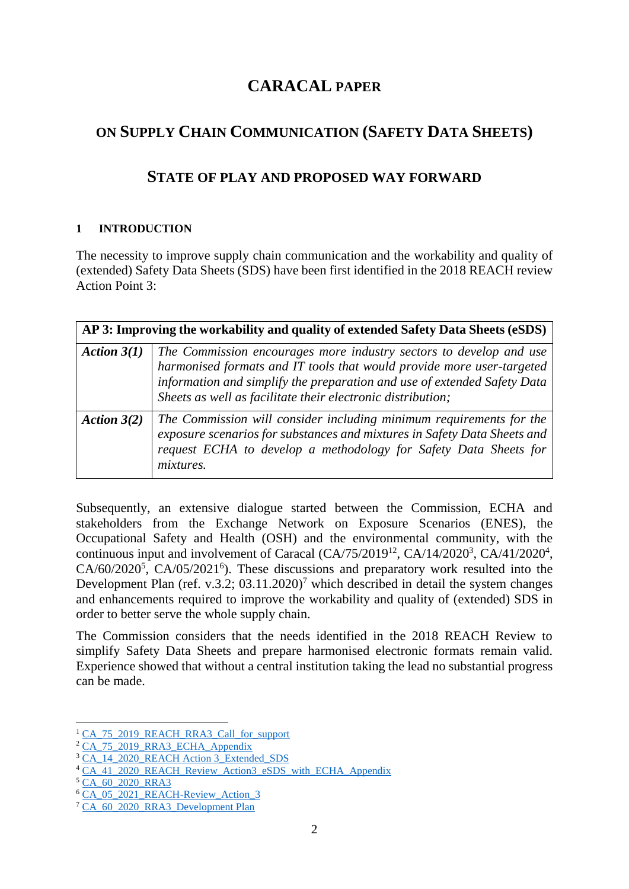# **CARACAL PAPER**

# **ON SUPPLY CHAIN COMMUNICATION (SAFETY DATA SHEETS)**

## **STATE OF PLAY AND PROPOSED WAY FORWARD**

## **1 INTRODUCTION**

The necessity to improve supply chain communication and the workability and quality of (extended) Safety Data Sheets (SDS) have been first identified in the 2018 REACH review Action Point 3:

| AP 3: Improving the workability and quality of extended Safety Data Sheets (eSDS) |                                                                                                                                                                                                                                                                                        |
|-----------------------------------------------------------------------------------|----------------------------------------------------------------------------------------------------------------------------------------------------------------------------------------------------------------------------------------------------------------------------------------|
| Action $3(1)$                                                                     | The Commission encourages more industry sectors to develop and use<br>harmonised formats and IT tools that would provide more user-targeted<br>information and simplify the preparation and use of extended Safety Data<br>Sheets as well as facilitate their electronic distribution; |
| Action $3(2)$                                                                     | The Commission will consider including minimum requirements for the<br>exposure scenarios for substances and mixtures in Safety Data Sheets and<br>request ECHA to develop a methodology for Safety Data Sheets for<br><i>mixtures.</i>                                                |

Subsequently, an extensive dialogue started between the Commission, ECHA and stakeholders from the Exchange Network on Exposure Scenarios (ENES), the Occupational Safety and Health (OSH) and the environmental community, with the continuous input and involvement of Caracal  $(CA/75/2019^{12}, CA/14/2020^3, CA/41/2020^4,$  $CA/60/2020^5$ ,  $CA/05/2021^6$ ). These discussions and preparatory work resulted into the Development Plan (ref. v.3.2;  $03.11.2020$ )<sup>7</sup> which described in detail the system changes and enhancements required to improve the workability and quality of (extended) SDS in order to better serve the whole supply chain.

The Commission considers that the needs identified in the 2018 REACH Review to simplify Safety Data Sheets and prepare harmonised electronic formats remain valid. Experience showed that without a central institution taking the lead no substantial progress can be made.

1

<sup>&</sup>lt;sup>1</sup> [CA\\_75\\_2019\\_REACH\\_RRA3\\_Call\\_for\\_support](https://circabc.europa.eu/ui/group/8a073cb6-03cb-4665-a866-4a17b17a6f60/library/303ab827-a279-4e18-9e31-8f28d039d9b5/details)

<sup>&</sup>lt;sup>2</sup> [CA\\_75\\_2019\\_RRA3\\_ECHA\\_Appendix](https://circabc.europa.eu/ui/group/8a073cb6-03cb-4665-a866-4a17b17a6f60/library/2efd485b-1a84-495e-99f3-f56318f79d3b/details)

<sup>&</sup>lt;sup>3</sup> [CA\\_14\\_2020\\_REACH Action 3\\_Extended\\_SDS](https://circabc.europa.eu/ui/group/a0b483a2-4c05-4058-addf-2a4de71b9a98/library/7b0d18f2-a68d-47d9-affd-527dfe24d367/details)

<sup>&</sup>lt;sup>4</sup> [CA\\_41\\_2020\\_REACH\\_Review\\_Action3\\_eSDS\\_with\\_ECHA\\_Appendix](https://circabc.europa.eu/ui/group/a0b483a2-4c05-4058-addf-2a4de71b9a98/library/179ac3f1-7300-424f-b8cb-b36e976932ed/details)

 $5 \overline{\mathrm{CA}}$  60 2020 RRA3

<sup>&</sup>lt;sup>6</sup> [CA\\_05\\_2021\\_REACH-Review\\_Action\\_3](https://circabc.europa.eu/ui/group/a0b483a2-4c05-4058-addf-2a4de71b9a98/library/9b87f5a2-8e0a-4651-9460-218d0afe8b1b/details)

<sup>&</sup>lt;sup>7</sup> CA 60\_2020\_RRA3\_Development Plan